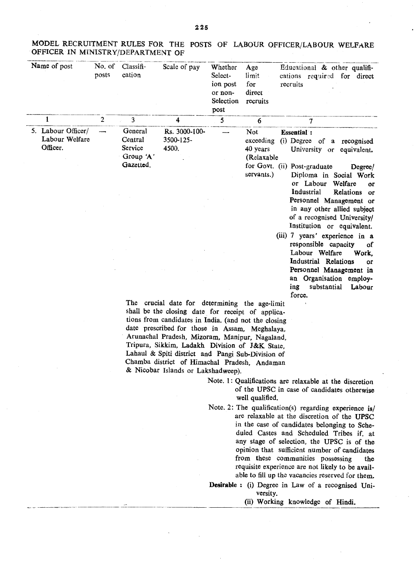| Name of post                                     | No. of<br>posts | Classifi-<br>cation                                     | Scale of pay                        | Whether<br>Select-<br>ion post<br>or non-<br>Selection<br>post | Age<br>limit<br>for<br>direct<br>recruits  | Educational & other qualifi-<br>cations required for direct<br>recruits                                                                                                                                   |
|--------------------------------------------------|-----------------|---------------------------------------------------------|-------------------------------------|----------------------------------------------------------------|--------------------------------------------|-----------------------------------------------------------------------------------------------------------------------------------------------------------------------------------------------------------|
| 1                                                | $\overline{2}$  | 3                                                       | 4                                   | 5                                                              | 6                                          | 7                                                                                                                                                                                                         |
| 5. Labour Officer/<br>Labour Welfare<br>Officer. |                 | General<br>Central<br>Service<br>Group 'A'<br>Gazetted. | Rs. 3000-100-<br>3500-125-<br>4500. |                                                                | Not<br>exceeding<br>40 years<br>(Relaxable | <b>Essential:</b><br>(i) Degree of a recognised<br>University or equivalent.<br>for Govt. (ii) Post-graduate<br>Degree/                                                                                   |
|                                                  |                 |                                                         |                                     |                                                                | servants.)                                 | Diploma in Social Work<br>or Labour<br>Welfare<br>or<br>Industrial<br>Relations or<br>Personnel Management or<br>in any other allied subject<br>of a recognised University/<br>Institution or equivalent. |
|                                                  |                 |                                                         |                                     |                                                                |                                            | (iii) 7 years' experience in a<br>responsible capacity<br><sub>of</sub><br>Labour Welfare<br>Work.<br>Industrial Relations<br>or                                                                          |
|                                                  |                 |                                                         |                                     |                                                                |                                            | Personnel Management in<br>an Organisation employ-<br>substantial<br>ing<br>Labour<br>force.                                                                                                              |

MODEL RECRUITMENT RULES FOR THE POSTS OF LABOUR OFFICER/LABOUR WELFARE OFFICER IN MINISTRY/DEPARTMENT OF

> date prescribed for those in Assam, Meghalaya, Arunachal Pradesh, Mizoram, Manipur, Nagaland, Tripura, Sikkim, Ladakh Division of J&K State, Lahau1 & Spiti district and Pangi Sub-Division of Chamba district of Himachal Pradesh, Andaman & Nicobar Islands or Lakshadweep).

> > Note. 1: Qualifications are relaxable at the discretion of the UPSC in case of candidates otherwise well qualified.

> > Note. 2: The qualification(s) regarding experience is/ are relaxable at the discretion of the UPSC in the case of candidates belonging to Scheduled Castes and Scheduled Tribes if. at any stage of selection, the UPSC is of the opinion that sufficient number of candidates from these communities possessing the requisite experience are not likely to be available to fill up the vacancies reserved for them.

> > Desirable: (i) Degree in Law of a recognised University.

(ii) Working knowledge of Hindi.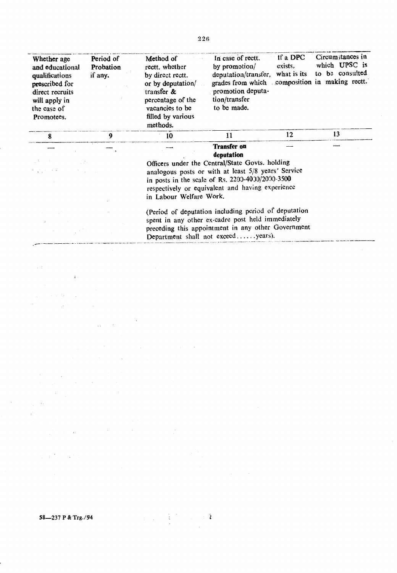| Whether age<br>and educational<br>qualifications<br>prescribed for<br>direct recruits<br>will apply in<br>the case of<br>Promotees. | Period of<br>Probation<br>if any. | Method of<br>rectt, whether<br>by direct rectt.<br>or by deputation/<br>transfer $\&$<br>percentage of the<br>vacancies to be<br>filled by various<br>methods. | In case of rectt.<br>by promotion/<br>deputation/transfer,<br>promotion deputa-<br>tion/transfer<br>to be made.                                                                                                | If a DPC<br>exists,<br>what is its | Circumstances in<br>which UPSC is<br>to be consulted<br>grades from which composition in making rectt. |
|-------------------------------------------------------------------------------------------------------------------------------------|-----------------------------------|----------------------------------------------------------------------------------------------------------------------------------------------------------------|----------------------------------------------------------------------------------------------------------------------------------------------------------------------------------------------------------------|------------------------------------|--------------------------------------------------------------------------------------------------------|
| 8                                                                                                                                   | $\mathbf{Q}$                      | 10                                                                                                                                                             | 11                                                                                                                                                                                                             | 12                                 | 13                                                                                                     |
|                                                                                                                                     |                                   |                                                                                                                                                                | <b>Transfer on</b><br>deputation                                                                                                                                                                               |                                    |                                                                                                        |
|                                                                                                                                     |                                   | in Labour Welfare Work.                                                                                                                                        | Officers under the Central/State Govts. holding<br>analogous posts or with at least 5/8 years' Service<br>in posts in the scale of Rs. 2200-4000/2000-3500<br>respectively or equivalent and having experience |                                    |                                                                                                        |
|                                                                                                                                     |                                   |                                                                                                                                                                | (Period of deputation including period of deputation<br>spent in any other ex-cadre post held immediately<br>preceding this appointment in any other Government<br>Department shall not exceedyears).          |                                    |                                                                                                        |

 $\mathcal{A}$ 

58-237 P & Trg./94

 $\label{eq:2.1} \begin{split} \mathcal{A}(\mathbf{t},\mathbf{t}) &= \mathcal{A}(\mathbf{t})\\ \mathcal{A}(\mathbf{t}) &= \mathcal{A}(\mathbf{t})\\ \mathcal{A}(\mathbf{t}) &= \mathcal{A}(\mathbf{t}) \end{split}$ 

 $\label{eq:2.1} \frac{1}{\sqrt{2}}\int_{0}^{\infty}\frac{d\mu}{\lambda} \left( \frac{d\mu}{\lambda} \right) \frac{d\mu}{\lambda} \, d\mu$ 

 $\label{eq:2.1} \frac{d\mathbf{r}}{d\mathbf{r}} = \frac{1}{2} \sum_{i=1}^n \frac{d\mathbf{r}}{d\mathbf{r}} \left[ \frac{d\mathbf{r}}{d\mathbf{r}} \right] \left[ \frac{d\mathbf{r}}{d\mathbf{r}} \right] \left[ \frac{d\mathbf{r}}{d\mathbf{r}} \right] \left[ \frac{d\mathbf{r}}{d\mathbf{r}} \right] \left[ \frac{d\mathbf{r}}{d\mathbf{r}} \right] \left[ \frac{d\mathbf{r}}{d\mathbf{r}} \right] \left[ \frac{d\mathbf{r}}{$  $\label{eq:2.1} \frac{1}{\sqrt{2}}\left(\frac{1}{\sqrt{2}}\right)^2\left(\frac{1}{\sqrt{2}}\right)^2\left(\frac{1}{\sqrt{2}}\right)^2\left(\frac{1}{\sqrt{2}}\right)^2\left(\frac{1}{\sqrt{2}}\right)^2.$ 

 $\hat{\mathcal{A}}_{\text{max}}$ 

 $\frac{1}{2} \left( \frac{1}{2} \left( \frac{1}{2} \right) \right) \left( \frac{1}{2} \right) \left( \frac{1}{2} \right)$ 

 $\label{eq:2} \mathcal{L}(\mathcal{L}) = \begin{cases} \mathcal{L}^{(n)} & \text{if } n \geq 1, \\ \mathcal{L}^{(n)} & \text{if } n \geq 1. \end{cases}$ 

 $\ddot{\phantom{a}}$ 

 $\mathcal{L}^{\text{max}}_{\text{max}}$  ,  $\mathcal{L}^{\text{max}}_{\text{max}}$  ,  $\mathcal{L}^{\text{max}}_{\text{max}}$ 

 $\frac{1}{\sqrt{2}}$ 

 $\mathcal{L}_{\rm{max}}$ 

 $\mathcal{L}_{\text{max}}$  , and  $\mathcal{L}_{\text{max}}$ 

 $\label{eq:2.1} \frac{1}{\sqrt{2\pi}}\sum_{i=1}^n\frac{1}{\sqrt{2\pi}}\sum_{i=1}^n\frac{1}{\sqrt{2\pi}}\sum_{i=1}^n\frac{1}{\sqrt{2\pi}}\sum_{i=1}^n\frac{1}{\sqrt{2\pi}}\sum_{i=1}^n\frac{1}{\sqrt{2\pi}}\sum_{i=1}^n\frac{1}{\sqrt{2\pi}}\sum_{i=1}^n\frac{1}{\sqrt{2\pi}}\sum_{i=1}^n\frac{1}{\sqrt{2\pi}}\sum_{i=1}^n\frac{1}{\sqrt{2\pi}}\sum_{i=1}^n\$ 

 $\sim 100$ 

 $\tilde{\mathcal{A}}$ 

 $\mathcal{L}^{\text{max}}_{\text{max}}$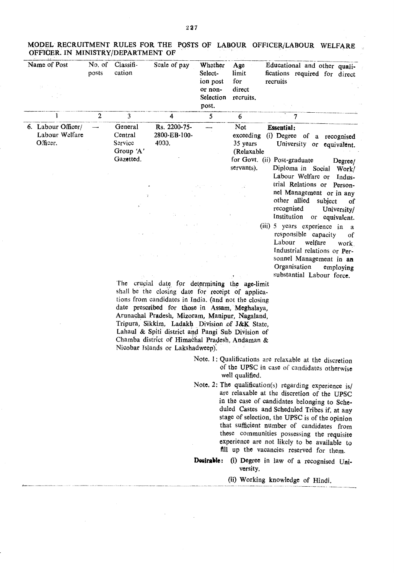| Name of Post                                     | No. of<br>posts | Classifi-<br>cation                                           | Scale of pay                                                                                                                                                                                                                                                                                                                                                                                               | Whether<br>Select-<br>ion post<br>or non-<br>Selection<br>post. | Age<br>limit<br>for<br>direct<br>recruits.               | Educational and other quali-<br>fications required for direct<br>recruits                                                                                                                                                                                                                                                                                                                                                                                                                                                                              |
|--------------------------------------------------|-----------------|---------------------------------------------------------------|------------------------------------------------------------------------------------------------------------------------------------------------------------------------------------------------------------------------------------------------------------------------------------------------------------------------------------------------------------------------------------------------------------|-----------------------------------------------------------------|----------------------------------------------------------|--------------------------------------------------------------------------------------------------------------------------------------------------------------------------------------------------------------------------------------------------------------------------------------------------------------------------------------------------------------------------------------------------------------------------------------------------------------------------------------------------------------------------------------------------------|
| 1                                                | $\overline{c}$  | 3                                                             | 4                                                                                                                                                                                                                                                                                                                                                                                                          | 5                                                               | $6\phantom{1}$                                           | 7                                                                                                                                                                                                                                                                                                                                                                                                                                                                                                                                                      |
| 6. Labour Officer/<br>Labour Welfare<br>Officer. |                 | General<br>Central<br>Service<br>Group 'A'<br>Gazetted.<br>ä. | Rs. 2200-75-<br>2800-EB-100-<br>4000.<br>The crucial date for determining the age-limit                                                                                                                                                                                                                                                                                                                    |                                                                 | Not<br>exceeding<br>35 years<br>(Relaxable<br>servants). | <b>Essential:</b><br>(i) Degree of a recognised<br>University or equivalent.<br>for Govt. (ii) Post-graduate<br>Degree/<br>Diploma in Social Work/<br>Labour Welfare or<br>Indus-<br>trial Relations or Person-<br>nel Management or in any<br>other allied subject<br>οf<br>recognised<br>University/<br>Institution or equivalent.<br>(iii) 5 years experience in a<br>responsible capacity<br>оf<br>Labour<br>welfare<br>work.<br>Industrial relations or Per-<br>sonnel Management in an<br>Organisation<br>employing<br>substantial Labour force. |
|                                                  |                 |                                                               | shall be the closing date for receipt of applica-<br>tions from candidates in India. (and not the closing<br>date prescribed for those in Assam, Meghalaya,<br>Arunachal Pradesh, Mizoram, Manipur, Nagaland,<br>Tripura, Sikkim, Ladakh Division of J&K State,<br>Lahaul & Spiti district and Pangi Sub Division of<br>Chamba district of Himachal Pradesh, Andaman &<br>Nicobar Islands or Lakshadweep). |                                                                 | well qualified.                                          | Note. 1: Qualifications are relaxable at the discretion<br>of the UPSC in case of candidates otherwise<br>Note. 2: The qualification(s) regarding experience is/<br>$\alpha$ and $\alpha$ is the state of $\alpha$ and $\alpha$ is the state of $\alpha$                                                                                                                                                                                                                                                                                               |

MODEL RECRUITMENT RULES FOR THE POSTS OF LABOUR OFFICER/LABOUR WELFARE OFFICER. IN MINISTRY/DEPARTMENT OF .

> are relaxable at the discretion of the UPSC in the case of candidates belonging to Scheduled Castes and Scheduled Tribes if, at any stage of selection, the UPSC is of the opinion

that sufficient number of candidates from these communities possessing the requisite experience are not likely to be available to fill up the vacancies reserved for them.

Desirable: (i) Degree in law of a recognised University.

(ii) Working knowledge of Hindi.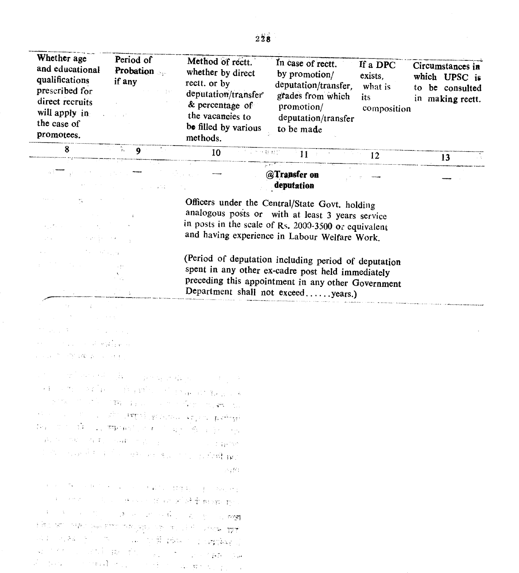| Whether age<br>and educational<br>qualifications<br>prescribed for<br>direct recruits<br>will apply in<br>the case of<br>promotees. | Period of<br><b>Probation</b><br>if any | Method of rectt.<br>whether by direct<br>rectt. or by<br>deputation/transfer<br>& percentage of<br>the vacancies to<br>be filled by various<br>methods. | In case of rectt.<br>by promotion/<br>deputation/transfer,<br>grades from which<br>promotion/<br>deputation/transfer<br>to be made | If a DPC<br>exists.<br>what is<br>its<br>composition | Circumstances in<br>which UPSC is<br>be consulted<br>to<br>in making rectt. |
|-------------------------------------------------------------------------------------------------------------------------------------|-----------------------------------------|---------------------------------------------------------------------------------------------------------------------------------------------------------|------------------------------------------------------------------------------------------------------------------------------------|------------------------------------------------------|-----------------------------------------------------------------------------|
|                                                                                                                                     |                                         | 10<br>计定当分数 经价                                                                                                                                          | $-11$                                                                                                                              | 12                                                   |                                                                             |

## @Transfer on deputation

Officers under the Central/State Govt. holding analogous posts or with at least 3 years service in posts in the scale of Rs. 2000-3500 or equivalent and having experience in Labour Welfare Work.

(Period of deputation including period of deputation spent in any other ex-cadre post held immediately preceding this appointment in any other Government Department shall not exceed......years.)

 $\chi^2$ ストー ない a di kalen ministrations.  $\sim$  15  $\sim 10^{-11}$  and  $\sim 10^{-1}$ 

计算机字母

a ta 1990 ya katika 1980 a wakazi wapatao  $\mathcal{L} = \mathcal{L} \mathcal{L} \mathcal{L}^{-1}$  $\label{eq:3} \mathcal{A} = \mathcal{A}^{\text{max}}_{\text{max}} \left( \mathcal{A}^{\text{max}}_{\text{max}} \left( \mathbf{p} \right) \right) = \mathcal{B}^{\text{max}}_{\text{max}} \left( \mathbf{p} \right) = \mathcal{B}^{\text{max}}_{\text{max}} \left( \mathcal{A}^{\text{max}}_{\text{max}} \left( \mathbf{p} \right) \right) \mathcal{B}^{\text{max}}_{\text{max}} \left( \mathbf{p} \right) \right)$ at the start of the start of the start of the start of the start of the start of the start of the start of the<br>The start of the start of the start of the start of the start of the start of the start of the start of the st الله المتحمل المتحركة المعتمدية والمتحدث برود المتحدث المتحدث المتحدثة.<br>والمستخدم المتحدث المتحدثة المتحدثة والمتحدث برود المتحدث المتحدثة  $\label{eq:1} \mathrm{B} \alpha = \mathrm{B}^{-1} \cdot \mathrm{B} \alpha = \mathrm{I}_{\alpha} \cdot \overline{\mathrm{B}} \mathrm{K} \left( \alpha \gamma^2 \right) \geq \alpha = \mathrm{I}_{\alpha} \cdot \frac{\mathrm{B} \alpha^2 \gamma^2 \mathrm{B} \cdot \mathrm{B} \cdot \mathrm{B} \cdot \mathrm{B} \cdot \mathrm{B} \cdot \mathrm{B} \cdot \mathrm{B} \cdot \mathrm{B} \cdot \mathrm{B} \cdot \mathrm{B} \cdot \mathrm{B} \cdot \mathrm{B} \cdot \mathrm{B} \cdot \mathrm{B} \cdot \mathrm{B} \cdot \mathrm{B} \cdot \mathrm{B} \cdot \mathrm$  $\label{eq:2.1} \left\langle \left(\widetilde{P}_{\lambda}\right)^{2} \right\rangle = \left\langle \left(\widetilde{Q}_{\lambda}\right)^{2} \right\rangle \left\langle \widetilde{Q}_{\lambda}\right| \left(\widetilde{P}_{\lambda}\right) = \left\langle \left(\widetilde{Q}_{\lambda}\right)^{2} \right\rangle \left\langle \widetilde{Q}_{\lambda}\right| \left(\widetilde{Q}_{\lambda}\right) = \left\langle \widetilde{Q}_{\lambda}\right|^{2} \left(\widetilde{Q}_{\lambda}\right) = \left\langle \widetilde{Q}_{\lambda}\right|^{2} \left(\widetilde{Q}_{\lambda}\right) = \left\langle \$ Control of Geneva i di sabab pasa senga serang kalim 人名阿比

"好"。 我们一个人的人。 不是你的人的  $\epsilon = \pm 1$ and the control of the second in the second of the program product 1. 医三十二指示 医阿里氏病 医鼻子的 医血糖 س.<br>محمد العربية في المستوى المستوى المستوى المستوى المستوى المستوى المستوى 24 F ال الأساس المعرض التي يتعالى التي تعالى المعرض المعرض المعرض المعرض المعرض المعرض المعرض المعرض المعرض المعرض<br>مساوات المعرض المعرض المعرض المعرض المعرض المعرض المعرض المعرض المعرض المعرض المعرض المعرض المعرض المعرض المعر م المسلمان المسلمان المسلمان المسلمان المسلمان المسلمان.<br>المسلمان المسلمان المسلمان المسلمان المسلمان المسلمان المسلمان المسلمان المسلمان المسلمان المسلمان المسلمان ال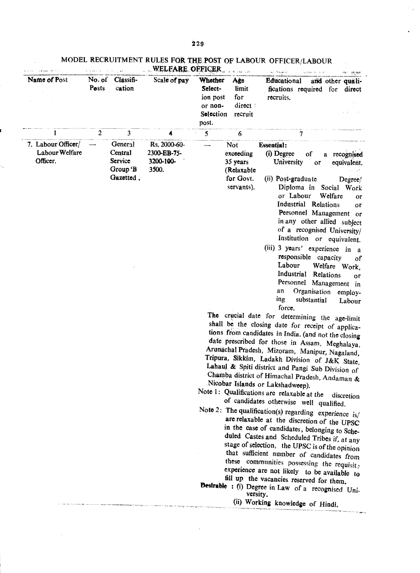$\hat{\mathcal{A}}$ 

| Age<br>Educational<br>and other quali-<br>limit<br>fications required for direct<br>for<br>recruits.<br>direct<br>recruit<br>7<br>6<br><b>Not</b><br><b>Essential:</b><br>(i) Degree<br>exceeding<br>of<br>a recognised<br>35 years<br>University<br>equivalent.<br>or<br>(Relaxable<br>for Govt.<br>(ii) Post-graduate<br>Degree/                                                                                                                                                                                                                                                                                                                                                                                                                                                                                                                                                                                                                                                                                                                                                                                                                                                                                                                                                                                                                                                   |
|--------------------------------------------------------------------------------------------------------------------------------------------------------------------------------------------------------------------------------------------------------------------------------------------------------------------------------------------------------------------------------------------------------------------------------------------------------------------------------------------------------------------------------------------------------------------------------------------------------------------------------------------------------------------------------------------------------------------------------------------------------------------------------------------------------------------------------------------------------------------------------------------------------------------------------------------------------------------------------------------------------------------------------------------------------------------------------------------------------------------------------------------------------------------------------------------------------------------------------------------------------------------------------------------------------------------------------------------------------------------------------------|
|                                                                                                                                                                                                                                                                                                                                                                                                                                                                                                                                                                                                                                                                                                                                                                                                                                                                                                                                                                                                                                                                                                                                                                                                                                                                                                                                                                                      |
|                                                                                                                                                                                                                                                                                                                                                                                                                                                                                                                                                                                                                                                                                                                                                                                                                                                                                                                                                                                                                                                                                                                                                                                                                                                                                                                                                                                      |
| servants).<br>Diploma in Social Work<br>or Labour<br>Welfare<br>or<br>Industrial Relations<br>or<br>Personnel Management or<br>in any other allied subject<br>of a recognised University/<br>Institution or equivalent.<br>(iii) 3 years' experience in a<br>responsible capacity<br>οf<br>Labour<br>Welfare Work,<br>Industrial Relations<br>or<br>Personnel Management in<br>an<br>Organisation employ-<br>ing<br>substantial<br>Labour<br>force.<br>The crucial date for determining the age-limit<br>shall be the closing date for receipt of applica-<br>tions from candidates in India. (and not the closing<br>date prescribed for those in Assam, Meghalaya,<br>Arunachal Pradesh, Mizoram, Manipur, Nagaland,<br>Tripura, Sikkim, Ladakh Division of J&K State.<br>Lahaul & Spiti district and Pangi Sub Division of<br>Chamba district of Himachal Pradesh, Andaman &<br>Nicobar Islands or Lakshadweep).<br>Note 1: Qualifications are relaxable at the<br>discretion<br>of candidates otherwise well qualified.<br>Note 2: The qualification(s) regarding experience $is$ /<br>are relaxable at the discretion of the UPSC<br>in the case of candidates, belonging to Sche-<br>duled Castes and Scheduled Tribes if, at any<br>stage of selection, the UPSC is of the opinion<br>that sufficient number of candidates from<br>these communities possessing the requisit; |
| experience are not likely to be available to<br>fill up the vacancies reserved for them.<br><b>Desirable :</b> (i) Degree in Law of a recognised Uni-                                                                                                                                                                                                                                                                                                                                                                                                                                                                                                                                                                                                                                                                                                                                                                                                                                                                                                                                                                                                                                                                                                                                                                                                                                |

.<br>The provincies concept in the company of concerning company concerning to the company of the supercycle company

 $\bar{\Delta}$ 

Ň,

MODEL RECRUITMENT RULES FOR THE POST OF LABOUR OFFICER/LABOUR

versity.<br>(ii) Working knowledge of Hindi.

.<br>11. mars 10. mars 1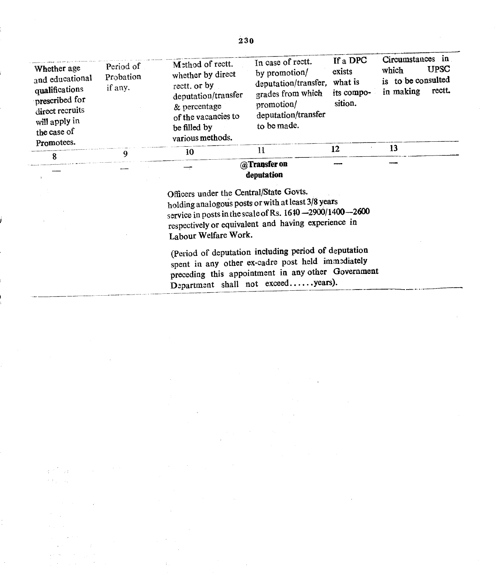| Whether age<br>and educational<br>qualifications<br>prescribed for<br>direct recruits<br>will apply in<br>the case of<br>Promotees. | Period of<br>Probation<br>if any. | Method of rectt.<br>whether by direct<br>rectt. or by<br>deputation/transfer<br>& percentage<br>of the vacancies to<br>be filled by<br>various methods. | In case of rectt.<br>by promotion/<br>deputation/transfer.<br>grades from which<br>promotion/<br>deputation/transfer<br>to be made. | If a DPC<br>exists<br>what is<br>its compo-<br>sition. | Circumstances in<br><b>UPSC</b><br>which<br>is to be consulted<br>rectt.<br>in making |
|-------------------------------------------------------------------------------------------------------------------------------------|-----------------------------------|---------------------------------------------------------------------------------------------------------------------------------------------------------|-------------------------------------------------------------------------------------------------------------------------------------|--------------------------------------------------------|---------------------------------------------------------------------------------------|
| 8                                                                                                                                   | 9                                 | 10                                                                                                                                                      | 11                                                                                                                                  | 12                                                     | 13                                                                                    |
|                                                                                                                                     |                                   |                                                                                                                                                         | @Transfer on<br>deputation                                                                                                          |                                                        |                                                                                       |

Officers under the Central/State Govts. holding analogous posts or with at least 3/8years service in posts in the scale of Rs.  $1640 - 2900/1400 - 2600$ respectively or equivalent and having experience in Labour Welfare Work.

(Period of deputation including period of deputation spent in any other ex-cadre post held immediately preceding this appointment in any other Government Department shall not exceed......years).

 $\frac{1}{2}$  : ý.

230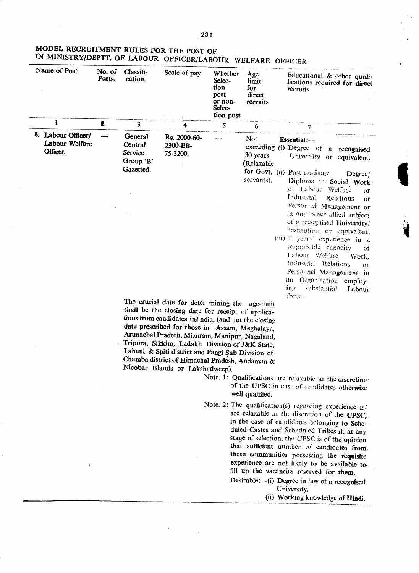## MODEL RECRUITMENT RULES FOR THE POST OF IN MINISTRY/DEPTT. OF LABOUR OFFICER/LABOUR WELFARE OFFICER

| Name of Post                                     | No. of<br>Posts. | Classifi-<br>cation.                                           | Scale of pay<br>$\prime$                                                                                                                                                                   | Whether<br>Selec-<br>tion<br>post<br>or non-<br>Selec-<br>tion post | Age<br>limit<br>for<br>direct<br>recruits                       | Educational & other quali-<br>fications required for direct<br>recruits.                                                                                                                                                                                                                                                                                                                                                                                                                                                                                                                   |
|--------------------------------------------------|------------------|----------------------------------------------------------------|--------------------------------------------------------------------------------------------------------------------------------------------------------------------------------------------|---------------------------------------------------------------------|-----------------------------------------------------------------|--------------------------------------------------------------------------------------------------------------------------------------------------------------------------------------------------------------------------------------------------------------------------------------------------------------------------------------------------------------------------------------------------------------------------------------------------------------------------------------------------------------------------------------------------------------------------------------------|
| $\mathbf{I}$                                     | £.               | 3                                                              | 4                                                                                                                                                                                          | 5                                                                   | 6                                                               |                                                                                                                                                                                                                                                                                                                                                                                                                                                                                                                                                                                            |
| 8. Labour Officer/<br>Labour Welfare<br>Officer. |                  | <b>General</b><br>Central<br>Service<br>Group 'B'<br>Gazetted. | Rs. 2000-60-<br>2300-EB-<br>75-3200.<br>The crucial date for deter mining the<br>shall be the closing date for receipt of applica-<br>tions from candidates inI ndia. (and not the closing |                                                                     | <b>Not</b><br>30 years<br>(Relaxable<br>servants).<br>age-limit | <b>Essential:</b><br>exceeding (i) Degree of a recognised<br>University or equivalent.<br>for Govt. (ii) Post-graduate<br>Degree/<br>Diploma in Social Work<br>or Labour Welfare<br>or<br>Industrial<br>Relations<br>$\Omega$ <sup>r</sup><br>Personael Management or<br>in any other allied subject<br>of a recognised University/<br>Institution or equivalent.<br>(iii) 2 years' experience in a<br>responsible capacity<br>οf<br>Labour Welfare<br>Work,<br>Industrial Relations<br>or<br>Personnel Management in<br>an Organisation employ-<br>substantial<br>ing<br>Labour<br>force. |

date prescribed for those in Assam, Meghalaya, Arunachal Pradesh, Mizoram, Manipur, Nagaland, Tripura, Sikkim, Ladakh Division of J&K State, Lahaul & Spiti district and Pangi Sub Division of Chamba district of Himachal Pradesh, Andaman & Nicobar Islands or Lakshadweep).

- Note. 1: Qualifications are relaxable at the discretion. of the UPSC in case of candidates otherwise well qualified.
- Note. 2: The qualification(s) regarding experience is/ are relaxable at the discretion of the UPSC, in the case of candidates belonging to Scheduled Castes and Scheduled Tribes if, at any stage of selection, the UPSC is of the opinion that sufficient number of candidates from these communities possessing the requisite experience are not likely to be available to fill up the vacancies reserved for them. Desirable: $-(i)$  Degree in law of a recognised

University.

(ii) Working knowledge of Hindi.